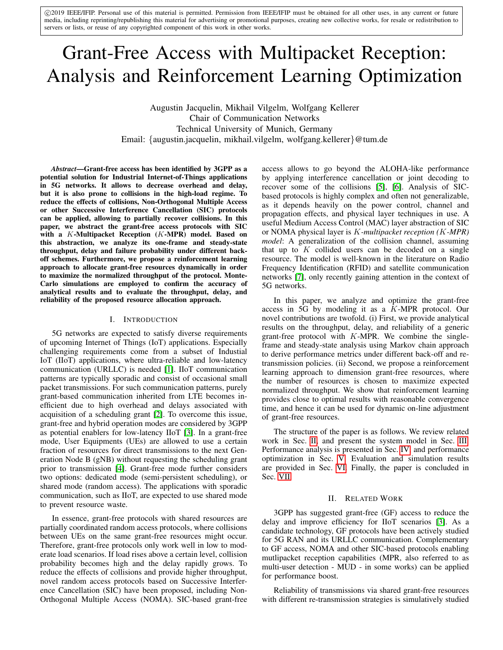c 2019 IEEE/IFIP. Personal use of this material is permitted. Permission from IEEE/IFIP must be obtained for all other uses, in any current or future media, including reprinting/republishing this material for advertising or promotional purposes, creating new collective works, for resale or redistribution to servers or lists, or reuse of any copyrighted component of this work in other works.

# Grant-Free Access with Multipacket Reception: Analysis and Reinforcement Learning Optimization

Augustin Jacquelin, Mikhail Vilgelm, Wolfgang Kellerer Chair of Communication Networks Technical University of Munich, Germany Email: {augustin.jacquelin, mikhail.vilgelm, wolfgang.kellerer}@tum.de

*Abstract*—Grant-free access has been identified by 3GPP as a potential solution for Industrial Internet-of-Things applications in 5G networks. It allows to decrease overhead and delay, but it is also prone to collisions in the high-load regime. To reduce the effects of collisions, Non-Orthogonal Multiple Access or other Successive Interference Cancellation (SIC) protocols can be applied, allowing to partially recover collisions. In this paper, we abstract the grant-free access protocols with SIC with a  $K$ -Multipacket Reception  $(K$ -MPR) model. Based on this abstraction, we analyze its one-frame and steady-state throughput, delay and failure probability under different backoff schemes. Furthermore, we propose a reinforcement learning approach to allocate grant-free resources dynamically in order to maximize the normalized throughput of the protocol. Monte-Carlo simulations are employed to confirm the accuracy of analytical results and to evaluate the throughput, delay, and reliability of the proposed resource allocation approach.

# I. INTRODUCTION

5G networks are expected to satisfy diverse requirements of upcoming Internet of Things (IoT) applications. Especially challenging requirements come from a subset of Industial IoT (IIoT) applications, where ultra-reliable and low-latency communication (URLLC) is needed [\[1\]](#page-7-0). IIoT communication patterns are typically sporadic and consist of occasional small packet transmissions. For such communication patterns, purely grant-based communication inherited from LTE becomes inefficient due to high overhead and delays associated with acquisition of a scheduling grant [\[2\]](#page-7-1). To overcome this issue, grant-free and hybrid operation modes are considered by 3GPP as potential enablers for low-latency IIoT [\[3\]](#page-7-2). In a grant-free mode, User Equipments (UEs) are allowed to use a certain fraction of resources for direct transmissions to the next Generation Node B (gNB) without requesting the scheduling grant prior to transmission [\[4\]](#page-7-3). Grant-free mode further considers two options: dedicated mode (semi-persistent scheduling), or shared mode (random access). The applications with sporadic communication, such as IIoT, are expected to use shared mode to prevent resource waste.

In essence, grant-free protocols with shared resources are partially coordinated random access protocols, where collisions between UEs on the same grant-free resources might occur. Therefore, grant-free protocols only work well in low to moderate load scenarios. If load rises above a certain level, collision probability becomes high and the delay rapidly grows. To reduce the effects of collisions and provide higher throughput, novel random access protocols based on Successive Interference Cancellation (SIC) have been proposed, including Non-Orthogonal Multiple Access (NOMA). SIC-based grant-free access allows to go beyond the ALOHA-like performance by applying interference cancellation or joint decoding to recover some of the collisions [\[5\]](#page-7-4), [\[6\]](#page-7-5). Analysis of SICbased protocols is highly complex and often not generalizable, as it depends heavily on the power control, channel and propagation effects, and physical layer techniques in use. A useful Medium Access Control (MAC) layer abstraction of SIC or NOMA physical layer is K*-multipacket reception (*K*-MPR) model*: A generalization of the collision channel, assuming that up to  $K$  collided users can be decoded on a single resource. The model is well-known in the literature on Radio Frequency Identification (RFID) and satellite communication networks [\[7\]](#page-7-6), only recently gaining attention in the context of 5G networks.

In this paper, we analyze and optimize the grant-free access in 5G by modeling it as a K-MPR protocol. Our novel contributions are twofold. (i) First, we provide analytical results on the throughput, delay, and reliability of a generic grant-free protocol with  $K$ -MPR. We combine the singleframe and steady-state analysis using Markov chain approach to derive performance metrics under different back-off and retransmission policies. (ii) Second, we propose a reinforcement learning approach to dimension grant-free resources, where the number of resources is chosen to maximize expected normalized throughput. We show that reinforcement learning provides close to optimal results with reasonable convergence time, and hence it can be used for dynamic on-line adjustment of grant-free resources.

The structure of the paper is as follows. We review related work in Sec. [II,](#page-0-0) and present the system model in Sec. [III.](#page-1-0) Performance analysis is presented in Sec. [IV,](#page-2-0) and performance optimization in Sec. [V.](#page-4-0) Evaluation and simulation results are provided in Sec. [VI.](#page-5-0) Finally, the paper is concluded in Sec. [VII.](#page-7-7)

# II. RELATED WORK

<span id="page-0-0"></span>3GPP has suggested grant-free (GF) access to reduce the delay and improve efficiency for IIoT scenarios [\[3\]](#page-7-2). As a candidate technology, GF protocols have been actively studied for 5G RAN and its URLLC communication. Complementary to GF access, NOMA and other SIC-based protocols enabling mutlipacket reception capabilities (MPR, also referred to as multi-user detection - MUD - in some works) can be applied for performance boost.

Reliability of transmissions via shared grant-free resources with different re-transmission strategies is simulatively studied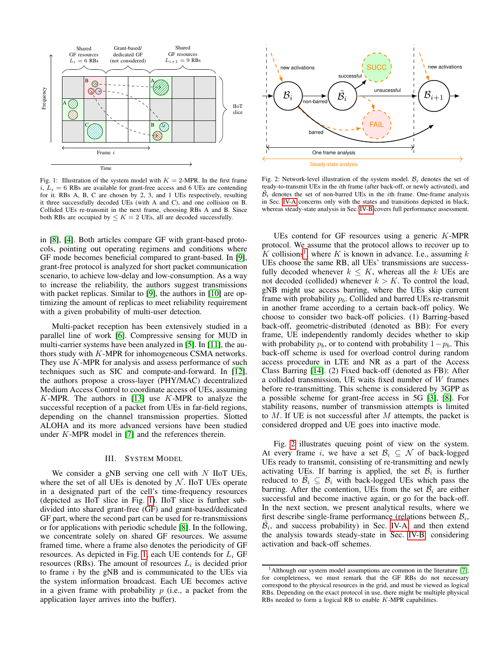<span id="page-1-1"></span>

Fig. 1: Illustration of the system model with  $K = 2$ -MPR. In the first frame  $i, L<sub>i</sub> = 6$  RBs are available for grant-free access and 6 UEs are contending for it. RBs A, B, C are chosen by 2, 3, and 1 UEs respectively, resulting it three successfully decoded UEs (with A and C), and one collision on B. Collided UEs re-transmit in the next frame, choosing RBs A and B. Since both RBs are occupied by  $\leq K = 2$  UEs, all are decoded successfully.

in [\[8\]](#page-7-8), [\[4\]](#page-7-3). Both articles compare GF with grant-based protocols, pointing out operating regimens and conditions where GF mode becomes beneficial compared to grant-based. In [\[9\]](#page-7-9), grant-free protocol is analyzed for short packet communication scenario, to achieve low-delay and low-consumption. As a way to increase the reliability, the authors suggest transmissions with packet replicas. Similar to [\[9\]](#page-7-9), the authors in [\[10\]](#page-7-10) are optimizing the amount of replicas to meet reliability requirement with a given probability of multi-user detection.

Multi-packet reception has been extensively studied in a parallel line of work [\[6\]](#page-7-5). Compressive sensing for MUD in multi-carrier systems have been analyzed in [\[5\]](#page-7-4). In [\[11\]](#page-7-11), the authors study with K-MPR for inhomogeneous CSMA networks. They use  $K$ -MPR for analysis and assess performance of such techniques such as SIC and compute-and-forward. In [\[12\]](#page-7-12), the authors propose a cross-layer (PHY/MAC) decentralized Medium Access Control to coordinate access of UEs, assuming K-MPR. The authors in [\[13\]](#page-7-13) use  $K$ -MPR to analyze the successful reception of a packet from UEs in far-field regions, depending on the channel transmission properties. Slotted ALOHA and its more advanced versions have been studied under K-MPR model in [\[7\]](#page-7-6) and the references therein.

#### III. SYSTEM MODEL

<span id="page-1-0"></span>We consider a gNB serving one cell with  $N$  IIoT UEs, where the set of all UEs is denoted by  $N$ . IIoT UEs operate in a designated part of the cell's time-frequency resources (depicted as IIoT slice in Fig. [1\)](#page-1-1). IIoT slice is further subdivided into shared grant-free (GF) and grant-based/dedicated GF part, where the second part can be used for re-transmissions or for applications with periodic schedule [\[8\]](#page-7-8). In the following, we concentrate solely on shared GF resources. We assume framed time, where a frame also denotes the periodicity of GF resources. As depicted in Fig. [1,](#page-1-1) each UE contends for  $L_i$  GF resources (RBs). The amount of resources  $L_i$  is decided prior to frame  $i$  by the gNB and is communicated to the UEs via the system information broadcast. Each UE becomes active in a given frame with probability  $p$  (i.e., a packet from the application layer arrives into the buffer).

<span id="page-1-3"></span>

Fig. 2: Network-level illustration of the system model.  $B_i$  denotes the set of ready-to-transmit UEs in the ith frame (after back-off, or newly activated), and  $\tilde{B}_i$  denotes the set of non-barred UEs in the *i*th frame. One-frame analysis in Sec. [IV-A](#page-2-1) concerns only with the states and transitions depicted in black, whereas steady-state analysis in Sec. [IV-B](#page-2-2) covers full performance assessment.

UEs contend for GF resources using a generic K-MPR protocol. We assume that the protocol allows to recover up to K collisions<sup>[1](#page-1-2)</sup>, where K is known in advance. I.e., assuming k UEs choose the same RB, all UEs' transmissions are successfully decoded whenever  $k \leq K$ , whereas all the k UEs are not decoded (collided) whenever  $k > K$ . To control the load, gNB might use access barring, where the UEs skip current frame with probability  $p<sub>b</sub>$ . Collided and barred UEs re-transmit in another frame according to a certain back-off policy. We choose to consider two back-off policies. (1) Barring-based back-off, geometric-distributed (denoted as BB): For every frame, UE independently randomly decides whether to skip with probability  $p<sub>b</sub>$ , or to contend with probability  $1-p<sub>b</sub>$ . This back-off scheme is used for overload control during random access procedure in LTE and NR as a part of the Access Class Barring [\[14\]](#page-7-14). (2) Fixed back-off (denoted as FB): After a collided transmission, UE waits fixed number of W frames before re-transmitting. This scheme is considered by 3GPP as a possible scheme for grant-free access in 5G [\[3\]](#page-7-2), [\[8\]](#page-7-8). For stability reasons, number of transmission attempts is limited to  $M$ . If UE is not successful after  $M$  attempts, the packet is considered dropped and UE goes into inactive mode.

Fig. [2](#page-1-3) illustrates queuing point of view on the system. At every frame i, we have a set  $\mathcal{B}_i \subseteq \mathcal{N}$  of back-logged UEs ready to transmit, consisting of re-transmitting and newly activating UEs. If barring is applied, the set  $\mathcal{B}_i$  is further reduced to  $\tilde{\mathcal{B}}_i \subseteq \mathcal{B}_i$  with back-logged UEs which pass the barring. After the contention, UEs from the set  $\tilde{\beta}_i$  are either successful and become inactive again, or go for the back-off. In the next section, we present analytical results, where we first describe single-frame performance (relations between  $B_i$ ,  $\tilde{\beta}_i$ , and success probability) in Sec. [IV-A,](#page-2-1) and then extend the analysis towards steady-state in Sec. [IV-B,](#page-2-2) considering activation and back-off schemes.

<span id="page-1-2"></span><sup>&</sup>lt;sup>1</sup>Although our system model assumptions are common in the literature [\[7\]](#page-7-6), for completeness, we must remark that the GF RBs do not necessary correspond to the physical resources in the grid, and must be viewed as logical RBs. Depending on the exact protocol in use, there might be multiple physical RBs needed to form a logical RB to enable K-MPR capabilities.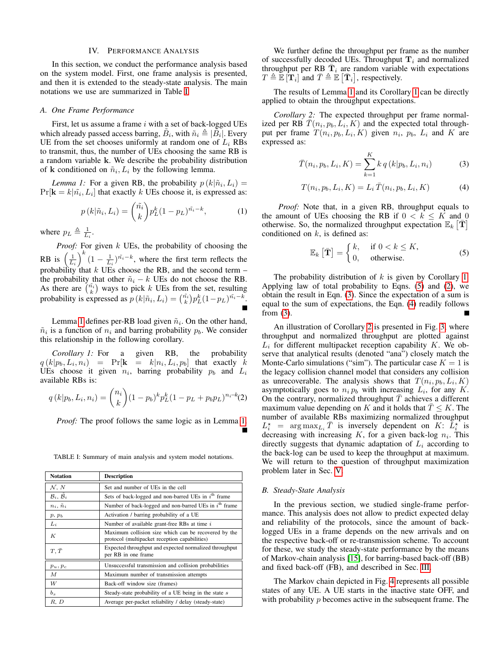#### IV. PERFORMANCE ANALYSIS

<span id="page-2-0"></span>In this section, we conduct the performance analysis based on the system model. First, one frame analysis is presented, and then it is extended to the steady-state analysis. The main notations we use are summarized in Table [I.](#page-2-3)

#### <span id="page-2-1"></span>*A. One Frame Performance*

First, let us assume a frame  $i$  with a set of back-logged UEs which already passed access barring,  $\tilde{B}_i$ , with  $\tilde{n}_i \triangleq |\tilde{B}_i|$ . Every UE from the set chooses uniformly at random one of  $L<sub>i</sub>$  RBs to transmit, thus, the number of UEs choosing the same RB is a random variable k. We describe the probability distribution of **k** conditioned on  $\tilde{n}_i$ ,  $L_i$  by the following lemma.

<span id="page-2-4"></span>*Lemma 1:* For a given RB, the probability  $p(k|\tilde{n}_i, L_i) =$  $Pr[\mathbf{k} = k | \tilde{n_i}, L_i]$  that exactly k UEs choose it, is expressed as:

$$
p(k|\tilde{n}_i, L_i) = {\tilde{n}_i \choose k} p_L^k (1 - p_L)^{\tilde{n}_i - k}, \qquad (1)
$$

where  $p_L \triangleq \frac{1}{L_i}$ .

*Proof:* For given k UEs, the probability of choosing the RB is  $\left(\frac{1}{L_i}\right)^k (1-\frac{1}{L_i})^{\tilde{n_i}-k}$ , where the first term reflects the probability that  $k$  UEs choose the RB, and the second term  $$ the probability that other  $\tilde{n}_i - k$  UEs do not choose the RB. As there are  $\binom{\tilde{n}_i}{k}$  ways to pick k UEs from the set, resulting probability is expressed as  $p(k|\tilde{n}_i, L_i) = \binom{\tilde{n}_i}{k} p_L^k (1 - p_L)^{\tilde{n}_i - k}$ .

Lemma [1](#page-2-4) defines per-RB load given  $\tilde{n}_i$ . On the other hand,  $\tilde{n}_i$  is a function of  $n_i$  and barring probability  $p_b$ . We consider this relationship in the following corollary.

<span id="page-2-5"></span>*Corollary 1:* For a given RB, the probability  $q(k|p_b, L_i, n_i)$  = Pr[ $\mathbf{k}$  =  $k|n_i, L_i, p_b$ ] that exactly k UEs choose it given  $n_i$ , barring probability  $p_b$  and  $L_i$ available RBs is:

$$
q(k|p_b, L_i, n_i) = {n_i \choose k} (1-p_b)^k p_L^k (1-p_L + p_b p_L)^{n_i-k}(2)
$$

*Proof:* The proof follows the same logic as in Lemma [1.](#page-2-4)

<span id="page-2-3"></span>TABLE I: Summary of main analysis and system model notations.

| <b>Notation</b>       | <b>Description</b>                                                                                    |
|-----------------------|-------------------------------------------------------------------------------------------------------|
| N, N                  | Set and number of UEs in the cell                                                                     |
| $B_i, \overline{B}_i$ | Sets of back-logged and non-barred UEs in $ith$ frame                                                 |
| $n_i, \tilde{n}_i$    | Number of back-logged and non-barred UEs in $ith$ frame                                               |
| $p, p_b$              | Activation / barring probability of a UE                                                              |
| $L_i$                 | Number of available grant-free RBs at time i                                                          |
| К                     | Maximum collision size which can be recovered by the<br>protocol (multipacket reception capabilities) |
| $T, \bar{T}$          | Expected throughput and expected normalized throughput<br>per RB in one frame                         |
| $p_u, p_c$            | Unsuccessful transmission and collision probabilities                                                 |
| M                     | Maximum number of transmission attempts                                                               |
| W                     | Back-off window size (frames)                                                                         |
| $b_s$                 | Steady-state probability of a UE being in the state s                                                 |
| R, D                  | Average per-packet reliability / delay (steady-state)                                                 |

We further define the throughput per frame as the number of successfully decoded UEs. Throughput  $\mathbf{T}_i$  and normalized throughput per RB  $\bar{\mathbf{T}}_i$  are random variable with expectations  $T \triangleq \mathbb{E} [\mathbf{T}_i]$  and  $\bar{T} \triangleq \mathbb{E} [\bar{\mathbf{T}}_i]$ , respectively.

The results of Lemma [1](#page-2-4) and its Corollary [1](#page-2-5) can be directly applied to obtain the throughput expectations.

*Corollary 2:* The expected throughput per frame normalized per RB  $\overline{T}(n_i, p_b, L_i, K)$  and the expected total throughput per frame  $T(n_i, p_b, L_i, K)$  given  $n_i$ ,  $p_b$ ,  $L_i$  and  $K$  are expressed as:

<span id="page-2-9"></span><span id="page-2-7"></span>
$$
\bar{T}(n_i, p_b, L_i, K) = \sum_{k=1}^{K} k q(k|p_b, L_i, n_i)
$$
\n(3)

<span id="page-2-8"></span>
$$
T(n_i, p_b, L_i, K) = L_i \,\bar{T}(n_i, p_b, L_i, K) \tag{4}
$$

*Proof:* Note that, in a given RB, throughput equals to the amount of UEs choosing the RB if  $0 < k \leq K$  and 0 otherwise. So, the normalized throughput expectation  $\mathbb{E}_k[\bar{\mathbf{T}}]$ conditioned on  $k$ , is defined as:

<span id="page-2-6"></span>
$$
\mathbb{E}_k\left[\bar{\mathbf{T}}\right] = \begin{cases} k, & \text{if } 0 < k \le K, \\ 0, & \text{otherwise.} \end{cases} \tag{5}
$$

The probability distribution of  $k$  is given by Corollary [1.](#page-2-5) Applying law of total probability to Eqns. [\(5\)](#page-2-6) and [\(2\)](#page-2-5), we obtain the result in Eqn. [\(3\)](#page-2-7). Since the expectation of a sum is equal to the sum of expectations, the Eqn. [\(4\)](#page-2-8) readily follows from  $(3)$ .

An illustration of Corollary [2](#page-2-9) is presented in Fig. [3,](#page-3-0) where throughput and normalized throughput are plotted against  $L_i$  for different multipacket reception capability  $K$ . We observe that analytical results (denoted "ana") closely match the Monte-Carlo simulations ("sim"). The particular case  $K = 1$  is the legacy collision channel model that considers any collision as unrecoverable. The analysis shows that  $T(n_i, p_b, L_i, K)$ asymptotically goes to  $n_i p_b$  with increasing  $L_i$ , for any  $K$ . On the contrary, normalized throughput  $\overline{T}$  achieves a different maximum value depending on K and it holds that  $T \leq K$ . The number of available RBs maximizing normalized throughput  $L_i^*$  = arg  $\max_{L_i} \overline{T}$  is inversely dependent on K:  $\overline{L_i^*}$  is decreasing with increasing  $K$ , for a given back-log  $n_i$ . This directly suggests that dynamic adaptation of  $L<sub>i</sub>$  according to the back-log can be used to keep the throughput at maximum. We will return to the question of throughput maximization problem later in Sec. [V.](#page-4-0)

#### <span id="page-2-2"></span>*B. Steady-State Analysis*

In the previous section, we studied single-frame performance. This analysis does not allow to predict expected delay and reliability of the protocols, since the amount of backlogged UEs in a frame depends on the new arrivals and on the respective back-off or re-transmission scheme. To account for these, we study the steady-state performance by the means of Markov-chain analysis [\[15\]](#page-7-15), for barring-based back-off (BB) and fixed back-off (FB), and described in Sec. [III.](#page-1-0)

The Markov chain depicted in Fig. [4](#page-3-1) represents all possible states of any UE. A UE starts in the inactive state OFF, and with probability  $p$  becomes active in the subsequent frame. The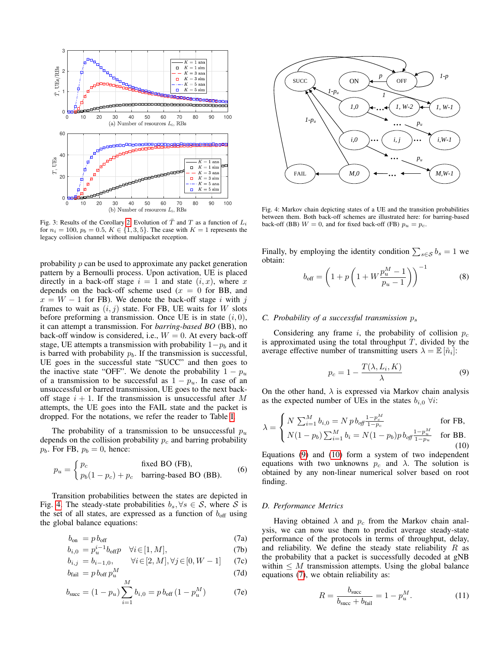<span id="page-3-0"></span>

Fig. 3: Results of the Corollary [2.](#page-2-9) Evolution of  $\overline{T}$  and T as a function of  $L_i$ for  $n_i = 100$ ,  $p_b = 0.5$ ,  $K \in \{1, 3, 5\}$ . The case with  $K = 1$  represents the legacy collision channel without multipacket reception.

probability  $p$  can be used to approximate any packet generation pattern by a Bernoulli process. Upon activation, UE is placed directly in a back-off stage  $i = 1$  and state  $(i, x)$ , where x depends on the back-off scheme used  $(x = 0)$  for BB, and  $x = W - 1$  for FB). We denote the back-off stage i with j frames to wait as  $(i, j)$  state. For FB, UE waits for W slots before preforming a transmission. Once UE is in state  $(i, 0)$ , it can attempt a transmission. For *barring-based BO* (BB), no back-off window is considered, i.e.,  $W = 0$ . At every back-off stage, UE attempts a transmission with probability  $1-p<sub>b</sub>$  and it is barred with probability  $p<sub>b</sub>$ . If the transmission is successful, UE goes in the successful state "SUCC" and then goes to the inactive state "OFF". We denote the probability  $1 - p_u$ of a transmission to be successful as  $1 - p_u$ . In case of an unsuccessful or barred transmission, UE goes to the next backoff stage  $i + 1$ . If the transmission is unsuccessful after M attempts, the UE goes into the FAIL state and the packet is dropped. For the notations, we refer the reader to Table [I.](#page-2-3)

The probability of a transmission to be unsuccessful  $p_u$ depends on the collision probability  $p_c$  and barring probability  $p_b$ . For FB,  $p_b = 0$ , hence:

$$
p_u = \begin{cases} p_c & \text{fixed BO (FB),} \\ p_b(1 - p_c) + p_c & \text{barring-based BO (BB).} \end{cases}
$$
 (6)

Transition probabilities between the states are depicted in Fig. [4.](#page-3-1) The steady-state probabilities  $b_s, \forall s \in S$ , where S is the set of all states, are expressed as a function of  $b_{\text{off}}$  using the global balance equations:

<span id="page-3-4"></span>
$$
b_{\rm on} = p \, b_{\rm off} \tag{7a}
$$

$$
b_{i,0} = p_u^{i-1} b_{\text{off}} p \quad \forall i \in [1, M], \tag{7b}
$$

$$
b_{i,j} = b_{i-1,0}, \qquad \forall i \in [2, M], \forall j \in [0, W - 1]
$$
 (7c)

$$
b_{\text{fail}} = p b_{\text{off}} p_u^M \tag{7d}
$$

$$
b_{\text{succ}} = (1 - p_u) \sum_{i=1} b_{i,0} = p b_{\text{off}} (1 - p_u^M) \tag{7e}
$$

<span id="page-3-1"></span>

Fig. 4: Markov chain depicting states of a UE and the transition probabilities between them. Both back-off schemes are illustrated here: for barring-based back-off (BB)  $W = 0$ , and for fixed back-off (FB)  $p_u = p_c$ .

Finally, by employing the identity condition  $\sum_{s \in \mathcal{S}} b_s = 1$  we obtain:

$$
b_{\text{off}} = \left(1 + p\left(1 + W \frac{p_u^M - 1}{p_u - 1}\right)\right)^{-1}
$$
 (8)

#### *C. Probability of a successful transmission*  $p_s$

Considering any frame i, the probability of collision  $p_c$ is approximated using the total throughput  $T$ , divided by the average effective number of transmitting users  $\lambda = \mathbb{E} [\tilde{n}_i]$ :

<span id="page-3-2"></span>
$$
p_c = 1 - \frac{T(\lambda, L_i, K)}{\lambda} \tag{9}
$$

On the other hand,  $\lambda$  is expressed via Markov chain analysis as the expected number of UEs in the states  $b_{i,0}$   $\forall i$ :

<span id="page-3-3"></span>
$$
\lambda = \begin{cases} N \sum_{i=1}^{M} b_{i,0} = N p b_{\text{off}} \frac{1 - p_c^M}{1 - p_c} & \text{for FB,} \\ N(1 - p_b) \sum_{i=1}^{M} b_i = N(1 - p_b) p b_{\text{off}} \frac{1 - p_u^M}{1 - p_u} & \text{for BB.} \end{cases}
$$
(10)

Equations [\(9\)](#page-3-2) and [\(10\)](#page-3-3) form a system of two independent equations with two unknowns  $p_c$  and  $\lambda$ . The solution is obtained by any non-linear numerical solver based on root finding.

# *D. Performance Metrics*

Having obtained  $\lambda$  and  $p_c$  from the Markov chain analysis, we can now use them to predict average steady-state performance of the protocols in terms of throughput, delay, and reliability. We define the steady state reliability  $R$  as the probability that a packet is successfully decoded at gNB within  $\leq M$  transmission attempts. Using the global balance equations [\(7\)](#page-3-4), we obtain reliability as:

<span id="page-3-5"></span>
$$
R = \frac{b_{\text{succ}}}{b_{\text{succ}} + b_{\text{fail}}} = 1 - p_u^M. \tag{11}
$$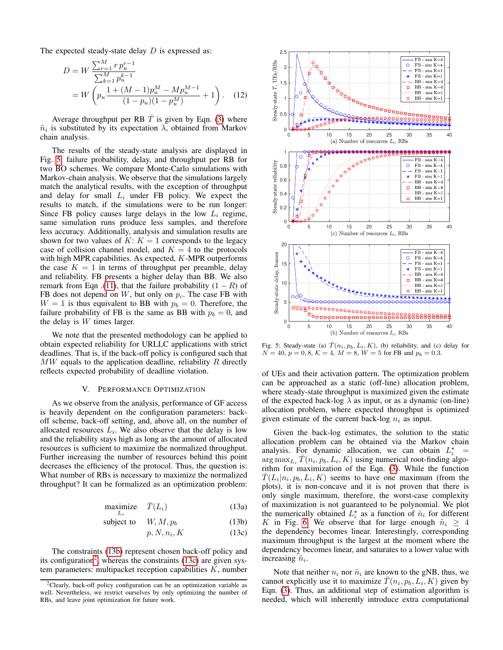The expected steady-state delay  $D$  is expressed as:

$$
D = W \frac{\sum_{r=1}^{M} r p_u^{r-1}}{\sum_{k=1}^{M} p_u^{k-1}}
$$
  
= 
$$
W \left( p_u \frac{1 + (M-1)p_u^M - Mp_u^{M-1}}{(1 - p_u)(1 - p_u^M)} + 1 \right).
$$
 (12)

Average throughput per RB  $\overline{T}$  is given by Eqn. [\(3\)](#page-2-7) where  $\tilde{n}_i$  is substituted by its expectation  $\lambda$ , obtained from Markov chain analysis.

The results of the steady-state analysis are displayed in Fig. [5:](#page-4-1) failure probability, delay, and throughput per RB for two BO schemes. We compare Monte-Carlo simulations with Markov-chain analysis. We observe that the simulations largely match the analytical results, with the exception of throughput and delay for small  $L_i$  under FB policy. We expect the results to match, if the simulations were to be run longer: Since FB policy causes large delays in the low  $L_i$  regime, same simulation runs produce less samples, and therefore less accuracy. Additionally, analysis and simulation results are shown for two values of  $K: K = 1$  corresponds to the legacy case of collision channel model, and  $K = 4$  to the protocols with high MPR capabilities. As expected, K-MPR outperforms the case  $K = 1$  in terms of throughput per preamble, delay and reliability. FB presents a higher delay than BB. We also remark from Eqn .[\(11\)](#page-3-5), that the failure probability  $(1 - R)$  of FB does not depend on  $W$ , but only on  $p_c$ . The case FB with  $W = 1$  is thus equivalent to BB with  $p_b = 0$ . Therefore, the failure probability of FB is the same as BB with  $p_b = 0$ , and the delay is  $W$  times larger.

We note that the presented methodology can be applied to obtain expected reliability for URLLC applications with strict deadlines. That is, if the back-off policy is configured such that  $MW$  equals to the application deadline, reliability  $R$  directly reflects expected probability of deadline violation.

# V. PERFORMANCE OPTIMIZATION

<span id="page-4-0"></span>As we observe from the analysis, performance of GF access is heavily dependent on the configuration parameters: backoff scheme, back-off setting, and, above all, on the number of allocated resources  $L_i$ . We also observe that the delay is low and the reliability stays high as long as the amount of allocated resources is sufficient to maximize the normalized throughput. Further increasing the number of resources behind this point decreases the efficiency of the protocol. Thus, the question is: What number of RBs is necessary to maximize the normalized throughput? It can be formalized as an optimization problem:

$$
\begin{array}{ll}\text{maximize} & \bar{T}(L_i) \\ \text{ } & \end{array} \tag{13a}
$$

$$
subject to \t W, M, p_b \t (13b)
$$

$$
p, N, n_i, K \tag{13c}
$$

<span id="page-4-2"></span>The constraints [\(13b\)](#page-4-2) represent chosen back-off policy and its configuration<sup>[2](#page-4-3)</sup>, whereas the constraints [\(13c\)](#page-4-2) are given system parameters: multipacket reception capabilities  $K$ , number

<span id="page-4-1"></span>

Fig. 5: Steady-state (a)  $\overline{T}(n_i, p_b, L_i, K)$ , (b) reliability, and (c) delay for  $N = 40, p = 0, 8, K = 4, M = 8, W = 5$  for FB and  $p_b = 0.3$ .

of UEs and their activation pattern. The optimization problem can be approached as a static (off-line) allocation problem, where steady-state throughput is maximized given the estimate of the expected back-log  $\lambda$  as input, or as a dynamic (on-line) allocation problem, where expected throughput is optimized given estimate of the current back-log  $n_i$  as input.

Given the back-log estimates, the solution to the static allocation problem can be obtained via the Markov chain analysis. For dynamic allocation, we can obtain  $L_i^*$  =  $\arg \max_{L_i} \overline{T}(n_i, p_b, L_i, K)$  using numerical root-finding algorithm for maximization of the Eqn. [\(3\)](#page-2-7). While the function  $\overline{T}(L_i|n_i, p_b, L_i, K)$  seems to have one maximum (from the plots), it is non-concave and it is not proven that there is only single maximum, therefore, the worst-case complexity of maximization is not guaranteed to be polynomial. We plot the numerically obtained  $L_i^*$  as a function of  $\tilde{n}_i$  for different K in Fig. [6.](#page-5-1) We observe that for large enough  $\tilde{n}_i \geq 4$ the dependency becomes linear. Interestingly, corresponding maximum throughput is the largest at the moment where the dependency becomes linear, and saturates to a lower value with increasing  $\tilde{n}_i$ .

Note that neither  $n_i$  nor  $\tilde{n}_i$  are known to the gNB, thus, we cannot explicitly use it to maximize  $\overline{T}(n_i, p_b, L_i, K)$  given by Eqn. [\(3\)](#page-2-7). Thus, an additional step of estimation algorithm is needed, which will inherently introduce extra computational

<span id="page-4-3"></span><sup>&</sup>lt;sup>2</sup>Clearly, back-off policy configuration can be an optimization variable as well. Nevertheless, we restrict ourselves by only optimizing the number of RBs, and leave joint optimization for future work.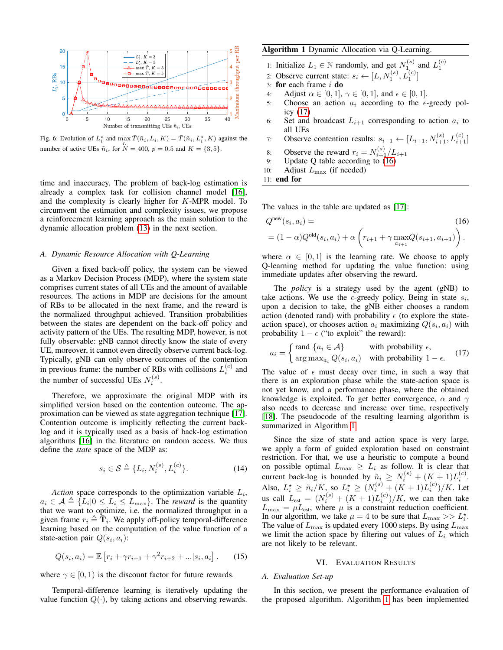<span id="page-5-1"></span>

Fig. 6: Evolution of  $L_i^*$  and  $\max_{I} \bar{T}(\tilde{n}_i, L_i, K) = \bar{T}(\tilde{n}_i, L_i^*, K)$  against the number of active UEs  $\tilde{n}_i$ , for  $N = 400$ ,  $p = 0.5$  and  $K = \{3, 5\}$ .

time and inaccuracy. The problem of back-log estimation is already a complex task for collision channel model [\[16\]](#page-7-16), and the complexity is clearly higher for K-MPR model. To circumvent the estimation and complexity issues, we propose a reinforcement learning approach as the main solution to the dynamic allocation problem [\(13\)](#page-4-2) in the next section.

# *A. Dynamic Resource Allocation with Q-Learning*

Given a fixed back-off policy, the system can be viewed as a Markov Decision Process (MDP), where the system state comprises current states of all UEs and the amount of available resources. The actions in MDP are decisions for the amount of RBs to be allocated in the next frame, and the reward is the normalized throughput achieved. Transition probabilities between the states are dependent on the back-off policy and activity pattern of the UEs. The resulting MDP, however, is not fully observable: gNB cannot directly know the state of every UE, moreover, it cannot even directly observe current back-log. Typically, gNB can only observe outcomes of the contention in previous frame: the number of RBs with collisions  $L_i^{(c)}$  and the number of successful UEs  $N_i^{(s)}$ .

Therefore, we approximate the original MDP with its simplified version based on the contention outcome. The approximation can be viewed as state aggregation technique [\[17\]](#page-7-17). Contention outcome is implicitly reflecting the current backlog and it is typically used as a basis of back-log estimation algorithms [\[16\]](#page-7-16) in the literature on random access. We thus define the *state* space of the MDP as:

$$
s_i \in \mathcal{S} \triangleq \{ L_i, N_i^{(s)}, L_i^{(c)} \}.
$$
 (14)

*Action* space corresponds to the optimization variable  $L_i$ ,  $a_i \in \mathcal{A} \triangleq \{L_i | 0 \le L_i \le L_{\text{max}}\}.$  The *reward* is the quantity that we want to optimize, i.e. the normalized throughput in a given frame  $r_i \triangleq \overline{T}_i$ . We apply off-policy temporal-difference learning based on the computation of the value function of a state-action pair  $Q(s_i, a_i)$ :

<span id="page-5-3"></span>
$$
Q(s_i, a_i) = \mathbb{E}\left[r_i + \gamma r_{i+1} + \gamma^2 r_{i+2} + \dots | s_i, a_i\right].
$$
 (15)

where  $\gamma \in [0, 1)$  is the discount factor for future rewards.

Temporal-difference learning is iteratively updating the value function  $Q(\cdot)$ , by taking actions and observing rewards.

# <span id="page-5-4"></span>Algorithm 1 Dynamic Allocation via Q-Learning.

- 1: Initialize  $L_1 \in \mathbb{N}$  randomly, and get  $N_1^{(s)}$  and  $L_1^{(c)}$ <br>2: Observe current state:  $s_i \leftarrow [L, N_1^{(s)}, L_1^{(c)}]$
- 
- 3: for each frame  $i$  do
- 4: Adjust  $\alpha \in [0, 1]$ ,  $\gamma \in [0, 1]$ , and  $\epsilon \in [0, 1]$ .
- 5: Choose an action  $a_i$  according to the  $\epsilon$ -greedy policy [\(17\)](#page-5-2)
- 6: Set and broadcast  $L_{i+1}$  corresponding to action  $a_i$  to all UEs
- 7: Observe contention results:  $s_{i+1} \leftarrow [L_{i+1}, N_{i+1}^{(s)}, L_{i+1}^{(c)}]$
- 8: Observe the reward  $r_i = N_{i+1}^{(s)}/L_{i+1}$
- 9: Update Q table according to  $(16)$
- 10: Adjust  $L_{\text{max}}$  (if needed)

11: end for

The values in the table are updated as [\[17\]](#page-7-17):

$$
Q^{\text{new}}(s_i, a_i) = (1 - \alpha)Q^{\text{old}}(s_i, a_i) + \alpha \left(r_{i+1} + \gamma \max_{a_{i+1}} Q(s_{i+1}, a_{i+1})\right).
$$
\n(16)

where  $\alpha \in [0, 1]$  is the learning rate. We choose to apply Q-learning method for updating the value function: using immediate updates after observing the reward.

The *policy* is a strategy used by the agent (gNB) to take actions. We use the  $\epsilon$ -greedy policy. Being in state  $s_i$ , upon a decision to take, the gNB either chooses a random action (denoted rand) with probability  $\epsilon$  (to explore the stateaction space), or chooses action  $a_i$  maximizing  $Q(s_i, a_i)$  with probability  $1 - \epsilon$  ("to exploit" the reward):

<span id="page-5-2"></span>
$$
a_i = \begin{cases} \text{rand } \{a_i \in \mathcal{A}\} & \text{with probability } \epsilon, \\ \text{arg max}_{a_i} \, Q(s_i, a_i) & \text{with probability } 1 - \epsilon. \end{cases} \tag{17}
$$

The value of  $\epsilon$  must decay over time, in such a way that there is an exploration phase while the state-action space is not yet know, and a performance phase, where the obtained knowledge is exploited. To get better convergence,  $\alpha$  and  $\gamma$ also needs to decrease and increase over time, respectively [\[18\]](#page-7-18). The pseudocode of the resulting learning algorithm is summarized in Algorithm [1.](#page-5-4)

Since the size of state and action space is very large, we apply a form of guided exploration based on constraint restriction. For that, we use a heuristic to compute a bound on possible optimal  $L_{\text{max}} \geq L_i$  as follow. It is clear that current back-log is bounded by  $\tilde{n}_i \ge N_i^{(s)} + (K + 1)L_i^{(c)}$ . Also,  $L_i^* \geq \tilde{n}_i/K$ , so  $L_i^* \geq (N_i^{(s)} + (K+1)L_i^{(c)})/K$ . Let us call  $L_{est} = (N_i^{(s)} + (K + 1)L_i^{(c)})/K$ , we can then take  $L_{\text{max}} = \mu L_{\text{est}}$ , where  $\mu$  is a constraint reduction coefficient. In our algorithm, we take  $\mu = 4$  to be sure that  $L_{\text{max}} >> L_i^*$ . The value of  $L_{\text{max}}$  is updated every 1000 steps. By using  $L_{\text{max}}$ we limit the action space by filtering out values of  $L<sub>i</sub>$  which are not likely to be relevant.

#### VI. EVALUATION RESULTS

# <span id="page-5-0"></span>*A. Evaluation Set-up*

In this section, we present the performance evaluation of the proposed algorithm. Algorithm [1](#page-5-4) has been implemented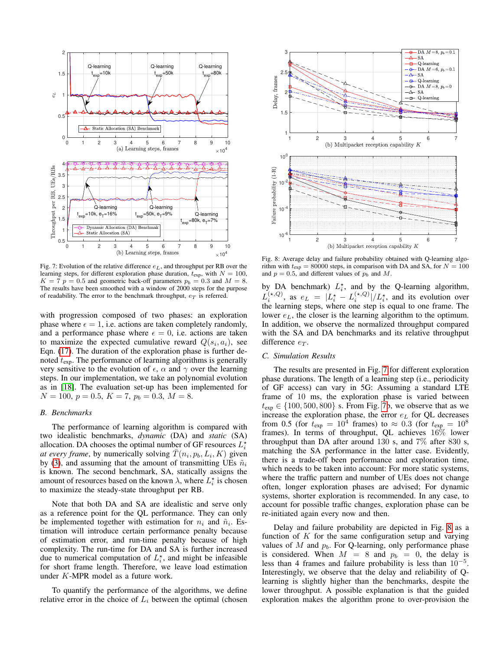<span id="page-6-0"></span>

Fig. 7: Evolution of the relative difference  $e_L$ , and throughput per RB over the learning steps, for different exploration phase duration,  $t_{exp}$ , with  $N = 100$ ,  $K = 7$   $p = 0.5$  and geometric back-off parameters  $p_b = 0.3$  and  $M = 8$ . The results have been smoothed with a window of 2000 steps for the purpose of readability. The error to the benchmark throughput,  $e_T$  is referred.

with progression composed of two phases: an exploration phase where  $\epsilon = 1$ , i.e. actions are taken completely randomly, and a performance phase where  $\epsilon = 0$ , i.e. actions are taken to maximize the expected cumulative reward  $Q(s_i, a_i)$ , see Eqn. [\(17\)](#page-5-2). The duration of the exploration phase is further denoted  $t_{\text{exp}}$ . The performance of learning algorithms is generally very sensitive to the evolution of  $\epsilon$ ,  $\alpha$  and  $\gamma$  over the learning steps. In our implementation, we take an polynomial evolution as in [\[18\]](#page-7-18). The evaluation set-up has been implemented for  $N = 100, p = 0.5, K = 7, p_b = 0.3, M = 8.$ 

## *B. Benchmarks*

The performance of learning algorithm is compared with two idealistic benchmarks, *dynamic* (DA) and *static* (SA) allocation. DA chooses the optimal number of GF resources  $L_i^*$ *at every frame*, by numerically solving  $\bar{T}(n_i, p_b, L_i, K)$  given by [\(3\)](#page-2-7), and assuming that the amount of transmitting UEs  $\tilde{n}_i$ is known. The second benchmark, SA, statically assigns the amount of resources based on the known  $\lambda$ , where  $L_i^*$  is chosen to maximize the steady-state throughput per RB.

Note that both DA and SA are idealistic and serve only as a reference point for the QL performance. They can only be implemented together with estimation for  $n_i$  and  $\tilde{n}_i$ . Estimation will introduce certain performance penalty because of estimation error, and run-time penalty because of high complexity. The run-time for DA and SA is further increased due to numerical computation of  $L_i^*$ , and might be infeasible for short frame length. Therefore, we leave load estimation under K-MPR model as a future work.

To quantify the performance of the algorithms, we define relative error in the choice of  $L<sub>i</sub>$  between the optimal (chosen

<span id="page-6-1"></span>

Fig. 8: Average delay and failure probability obtained with Q-learning algorithm with  $t_{exp} = 80000$  steps, in comparison with DA and SA, for  $N = 100$ and  $p = 0.5$ , and different values of  $p_b$  and M.

by DA benchmark)  $L_i^*$ , and by the Q-learning algorithm,  $L_i^{(\star, Q)}$ , as  $e_L = |L_i^{\star} - L_i^{(\star, Q)}|/L_i^{\star}$ , and its evolution over the learning steps, where one step is equal to one frame. The lower  $e<sub>L</sub>$ , the closer is the learning algorithm to the optimum. In addition, we observe the normalized throughput compared with the SA and DA benchmarks and its relative throughput difference  $e_T$ .

# *C. Simulation Results*

The results are presented in Fig. [7](#page-6-0) for different exploration phase durations. The length of a learning step (i.e., periodicity of GF access) can vary in 5G: Assuming a standard LTE frame of 10 ms, the exploration phase is varied between  $t_{\text{exp}} \in \{100, 500, 800\}$  s. From Fig. [7b](#page-6-0), we observe that as we increase the exploration phase, the error  $e<sub>L</sub>$  for QL decreases from 0.5 (for  $t_{\text{exp}} = 10^4$  frames) to  $\approx 0.3$  (for  $t_{\text{exp}} = 10^8$ frames). In terms of throughput, QL achieves 16% lower throughput than DA after around 130 s, and 7% after 830 s, matching the SA performance in the latter case. Evidently, there is a trade-off been performance and exploration time, which needs to be taken into account: For more static systems, where the traffic pattern and number of UEs does not change often, longer exploration phases are advised; For dynamic systems, shorter exploration is recommended. In any case, to account for possible traffic changes, exploration phase can be re-initiated again every now and then.

Delay and failure probability are depicted in Fig. [8](#page-6-1) as a function of  $K$  for the same configuration setup and varying values of M and  $p<sub>b</sub>$ . For Q-learning, only performance phase is considered. When  $M = 8$  and  $p_b = 0$ , the delay is less than 4 frames and failure probability is less than  $10^{-5}$ . Interestingly, we observe that the delay and reliability of Qlearning is slightly higher than the benchmarks, despite the lower throughput. A possible explanation is that the guided exploration makes the algorithm prone to over-provision the